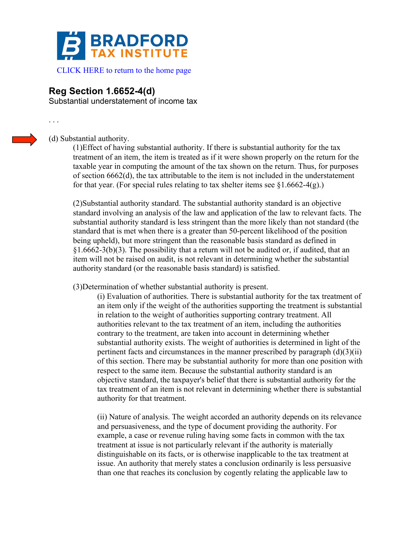

## **Reg Section 1.6652-4(d)**

Substantial understatement of income tax

. . .

(d) Substantial authority.

(1)Effect of having substantial authority. If there is substantial authority for the tax treatment of an item, the item is treated as if it were shown properly on the return for the taxable year in computing the amount of the tax shown on the return. Thus, for purposes of section 6662(d), the tax attributable to the item is not included in the understatement for that year. (For special rules relating to tax shelter items see  $\S1.6662-4(g)$ .)

(2)Substantial authority standard. The substantial authority standard is an objective standard involving an analysis of the law and application of the law to relevant facts. The substantial authority standard is less stringent than the more likely than not standard (the standard that is met when there is a greater than 50-percent likelihood of the position being upheld), but more stringent than the reasonable basis standard as defined in  $§1.6662-3(b)(3)$ . The possibility that a return will not be audited or, if audited, that an item will not be raised on audit, is not relevant in determining whether the substantial authority standard (or the reasonable basis standard) is satisfied.

(3)Determination of whether substantial authority is present.

(i) Evaluation of authorities. There is substantial authority for the tax treatment of an item only if the weight of the authorities supporting the treatment is substantial in relation to the weight of authorities supporting contrary treatment. All authorities relevant to the tax treatment of an item, including the authorities contrary to the treatment, are taken into account in determining whether substantial authority exists. The weight of authorities is determined in light of the pertinent facts and circumstances in the manner prescribed by paragraph (d)(3)(ii) of this section. There may be substantial authority for more than one position with respect to the same item. Because the substantial authority standard is an objective standard, the taxpayer's belief that there is substantial authority for the tax treatment of an item is not relevant in determining whether there is substantial authority for that treatment.

(ii) Nature of analysis. The weight accorded an authority depends on its relevance and persuasiveness, and the type of document providing the authority. For example, a case or revenue ruling having some facts in common with the tax treatment at issue is not particularly relevant if the authority is materially distinguishable on its facts, or is otherwise inapplicable to the tax treatment at issue. An authority that merely states a conclusion ordinarily is less persuasive than one that reaches its conclusion by cogently relating the applicable law to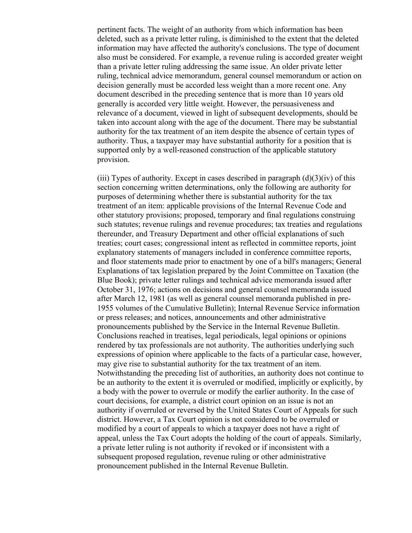pertinent facts. The weight of an authority from which information has been deleted, such as a private letter ruling, is diminished to the extent that the deleted information may have affected the authority's conclusions. The type of document also must be considered. For example, a revenue ruling is accorded greater weight than a private letter ruling addressing the same issue. An older private letter ruling, technical advice memorandum, general counsel memorandum or action on decision generally must be accorded less weight than a more recent one. Any document described in the preceding sentence that is more than 10 years old generally is accorded very little weight. However, the persuasiveness and relevance of a document, viewed in light of subsequent developments, should be taken into account along with the age of the document. There may be substantial authority for the tax treatment of an item despite the absence of certain types of authority. Thus, a taxpayer may have substantial authority for a position that is supported only by a well-reasoned construction of the applicable statutory provision.

(iii) Types of authority. Except in cases described in paragraph  $(d)(3)(iv)$  of this section concerning written determinations, only the following are authority for purposes of determining whether there is substantial authority for the tax treatment of an item: applicable provisions of the Internal Revenue Code and other statutory provisions; proposed, temporary and final regulations construing such statutes; revenue rulings and revenue procedures; tax treaties and regulations thereunder, and Treasury Department and other official explanations of such treaties; court cases; congressional intent as reflected in committee reports, joint explanatory statements of managers included in conference committee reports, and floor statements made prior to enactment by one of a bill's managers; General Explanations of tax legislation prepared by the Joint Committee on Taxation (the Blue Book); private letter rulings and technical advice memoranda issued after October 31, 1976; actions on decisions and general counsel memoranda issued after March 12, 1981 (as well as general counsel memoranda published in pre-1955 volumes of the Cumulative Bulletin); Internal Revenue Service information or press releases; and notices, announcements and other administrative pronouncements published by the Service in the Internal Revenue Bulletin. Conclusions reached in treatises, legal periodicals, legal opinions or opinions rendered by tax professionals are not authority. The authorities underlying such expressions of opinion where applicable to the facts of a particular case, however, may give rise to substantial authority for the tax treatment of an item. Notwithstanding the preceding list of authorities, an authority does not continue to be an authority to the extent it is overruled or modified, implicitly or explicitly, by a body with the power to overrule or modify the earlier authority. In the case of court decisions, for example, a district court opinion on an issue is not an authority if overruled or reversed by the United States Court of Appeals for such district. However, a Tax Court opinion is not considered to be overruled or modified by a court of appeals to which a taxpayer does not have a right of appeal, unless the Tax Court adopts the holding of the court of appeals. Similarly, a private letter ruling is not authority if revoked or if inconsistent with a subsequent proposed regulation, revenue ruling or other administrative pronouncement published in the Internal Revenue Bulletin.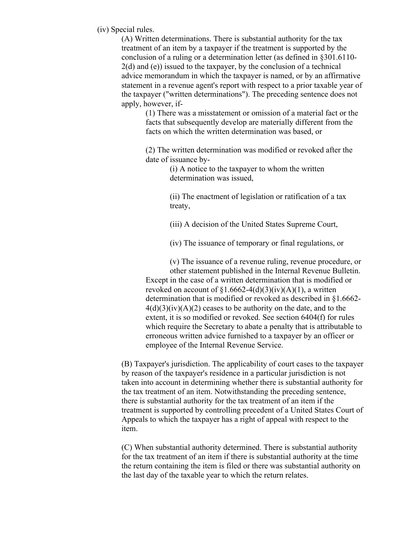(iv) Special rules.

(A) Written determinations. There is substantial authority for the tax treatment of an item by a taxpayer if the treatment is supported by the conclusion of a ruling or a determination letter (as defined in §301.6110- 2(d) and (e)) issued to the taxpayer, by the conclusion of a technical advice memorandum in which the taxpayer is named, or by an affirmative statement in a revenue agent's report with respect to a prior taxable year of the taxpayer ("written determinations"). The preceding sentence does not apply, however, if-

> (1) There was a misstatement or omission of a material fact or the facts that subsequently develop are materially different from the facts on which the written determination was based, or

(2) The written determination was modified or revoked after the date of issuance by-

> (i) A notice to the taxpayer to whom the written determination was issued,

(ii) The enactment of legislation or ratification of a tax treaty,

(iii) A decision of the United States Supreme Court,

(iv) The issuance of temporary or final regulations, or

(v) The issuance of a revenue ruling, revenue procedure, or

other statement published in the Internal Revenue Bulletin. Except in the case of a written determination that is modified or revoked on account of  $$1.6662-4(d)(3)(iv)(A)(1)$ , a written determination that is modified or revoked as described in §1.6662-  $4(d)(3)(iv)(A)(2)$  ceases to be authority on the date, and to the extent, it is so modified or revoked. See section 6404(f) for rules which require the Secretary to abate a penalty that is attributable to erroneous written advice furnished to a taxpayer by an officer or employee of the Internal Revenue Service.

(B) Taxpayer's jurisdiction. The applicability of court cases to the taxpayer by reason of the taxpayer's residence in a particular jurisdiction is not taken into account in determining whether there is substantial authority for the tax treatment of an item. Notwithstanding the preceding sentence, there is substantial authority for the tax treatment of an item if the treatment is supported by controlling precedent of a United States Court of Appeals to which the taxpayer has a right of appeal with respect to the item.

(C) When substantial authority determined. There is substantial authority for the tax treatment of an item if there is substantial authority at the time the return containing the item is filed or there was substantial authority on the last day of the taxable year to which the return relates.